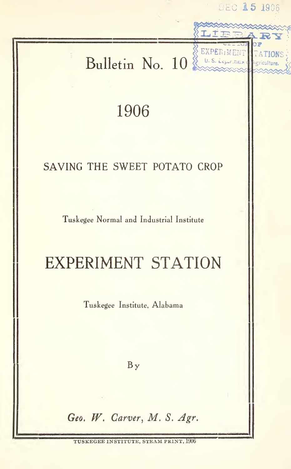# **DEC 15 1906 TATIONS** Bulletin No. 10 ericulture. 1906 SAVING THE SWEET POTATO CROP Tuskegee Normal and Industrial Institute **EXPERIMENT STATION** Tuskegee Institute, Alabama  $B_y$ Geo. W. Carver, M. S. Agr. TUSKEGEE INSTITUTE, STEAM PRINT, 1906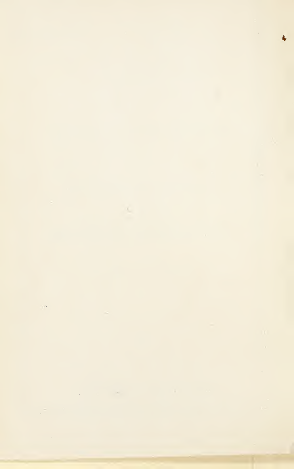$\delta^{(k)}$ 

 $\mathcal{L}_{\mathcal{A}}$  , and  $\mathcal{L}_{\mathcal{A}}$  , and  $\mathcal{L}_{\mathcal{A}}$  , and  $\mathcal{L}_{\mathcal{A}}$  , and  $\mathcal{L}_{\mathcal{A}}$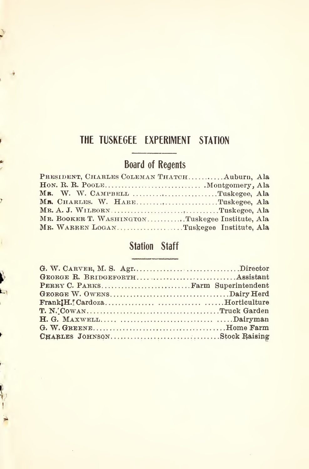## THE TUSKEGEE EXPERIMENT STATION

## Board of Regents

| PRESIDENT, CHARLES COLEMAN THATCHAuburn, Ala    |  |
|-------------------------------------------------|--|
|                                                 |  |
| MR. W. W. CAMPBELL Tuskegee, Ala                |  |
| MR. CHARLES. W. HARETuskegee, Ala               |  |
| MR. A. J. WILBORNTuskegee, Ala                  |  |
| MR. BOOKER T. WASHINGTONTuskegee Institute, Ala |  |
| MR. WARREN LOGANTuskegee Institute, Ala         |  |

ż

## Station Staff

| G. W. CARVER, M. S. AgrDirector |  |
|---------------------------------|--|
|                                 |  |
|                                 |  |
| GEORGE W. OWENSDairy Herd       |  |
|                                 |  |
|                                 |  |
|                                 |  |
|                                 |  |
|                                 |  |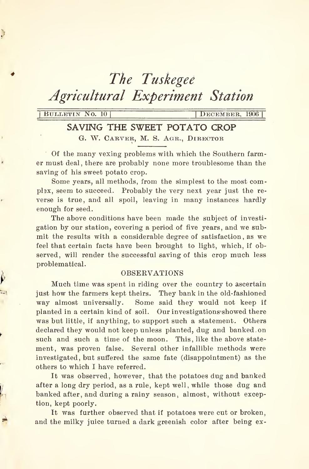## The Tuskegee Agricultural Experiment Station

BULLETIN NO. 10 | DECEMBER, 1906 |

N

### SAVING THE SWEET POTATO CROP G. W. Carver, M. S. Agr., Director

Of the many vexing problems with which the Southern farmer must deal, there are probably none more troublesome than the saving of his sweet potato crop.

Some years, all methods, from the simplest to the most complsx, seem to succeed. Probably the very next year just the re verse is true, and all spoil, leaving in many instances hardly enough for seed.

The above conditions have been made the subject of investi gation by our station, covering a period of five years, and we submit the results with a considerable degree of satisfaction, as we feel that certain facts have been brought to light, which, if observed, will render the successful saving of this crop much less problematical.

#### OBSERVATIONS

Much time was spent in riding over the country to ascertain just how the farmers kept theirs. They bank in the old-fashioned way almost universally. Some said they would not keep if planted in a certain kind of soil. Our investigations^showed there was but little, if anything, to support such a statement. Others declared they would not keep unless planted, dug and banked on such and such a time of the moon. This, like the above state ment, was proven false. Several other infallible methods were investigated, but suffered the same fate (disappointment) as the others to which <sup>I</sup> have referred.

It was observed, however, that the potatoes dug and banked after a long dry period, as a rule, kept well, while those dug and banked after, and during a rainy season, almost, without exception, kept poorly.

It was further observed that if potatoes were cut or broken, and the milky juice turned a dark greenish color after being ex-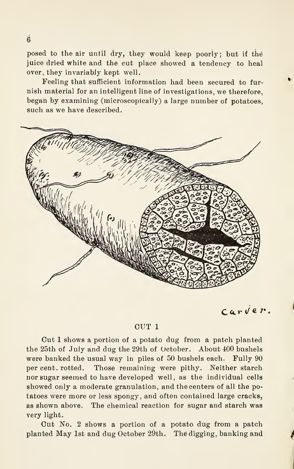posed to the air until dry, they would keep poorly; but if the juice dried white and the cut place showed a tendency to heal over, they invariably kept well.

Feeling that sufficient information had been secured to fur nish material for an intelligent line of investigations, we therefore, began by examining (microscopically) a large number of potatoes, such as we have described.



 $C$ *arver.* 

#### CUT<sub>1</sub>

Cut 1 shows a portion of a potato dug from a patch planted the 25th of July and dug the 29th of October. About 400 bushels were banked the usual way in piles of 50 bushels each. Fully 90 per cent, rotted. Those remaining were pithy. Neither starch nor sugar seemed to have developed well, as the individual cells showed only a moderate granulation, and the centers of all the potatoes were more or less spongy, and often contained large cracks, as shown above. The chemical reaction for sugar and starch was very light.

Cut No. 2 shows a portion of a potato dug from a patch planted May 1st and dug October 29th. The digging, banking and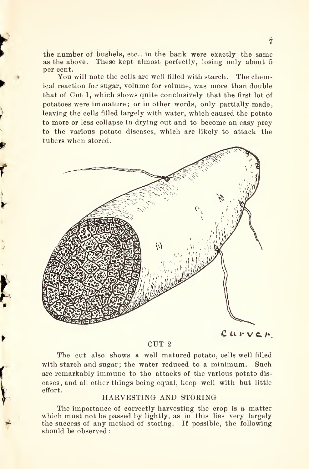the number of bushels, etc., in the bank were exactly the same as the above. These kept almost perfectly, losing only about 5 per cent.

You will note the cells are well filled with starch. The chemical reaction for sugar, volume for volume, was more than double that of Cut 1, which shows quite conclusively that the first lot of potatoes were immature; or in other words, only partially made, leaving the cells filled largely with water, which caused the potato to more or less collapse in drying out and to become an easy prey to the various potato diseases, which are likely to attack the tubers when stored.



 $C$ urver

#### CUT<sub>2</sub>

The cut also shows a well matured potato, cells well filled with starch and sugar; the water reduced to a minimum. Such are remarkably immune to the attacks of the various potato dis eases, and all other things being equal, keep well with but little effort. HARVESTING AND STORING

The importance of correctly harvesting the crop is a matter which must not be passed by lightly, as in this lies very largely the success of any method of storing. If possible, the following should be observed: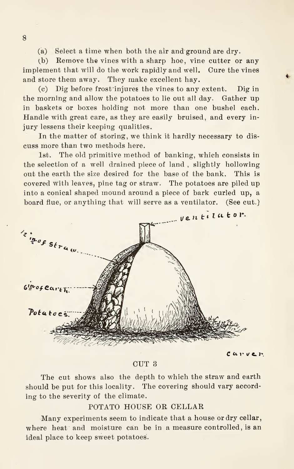(a) Select a time when both the air and ground are dry.

(b) Remove the vines with a sharp hoe, vine cutter or any implement that will do the work rapidly and well. Cure the vines and store them away. They make excellent hay.

(c) Dig before frost'injures the vines to any extent. Dig in the morning and allow the potatoes to lie out all day. Gather up in baskets or boxes holding not more than one bushel each. Handle with great care, as they are easily bruised, and every in jury lessens their keeping qualities.

In the matter of storing, we think it hardly necessary to dis cuss more than two methods here.

1st. The old primitive method of banking, which consists in the selection of a well drained piece of land , slightly hollowing out the earth the size desired for the base of the bank. This is covered with leaves, pine tag or straw. The potatoes are piled up into a conical shaped mound around a piece of bark curled up, a board flue, or anything that will serve as a ventilator. (See cut.)



 $C$   $U$   $V$   $V$   $C$   $V$ .

#### CUT <sup>3</sup>

The cut shows also the depth to which the straw and earth should be put for this locality. The covering should vary accord ing to the severity of the climate.

#### POTATO HOUSE OR CELLAR

Many experiments seem to indicate that a house or dry cellar, where heat and moisture can be in a measure controlled, is an ideal place to keep sweet potatoes.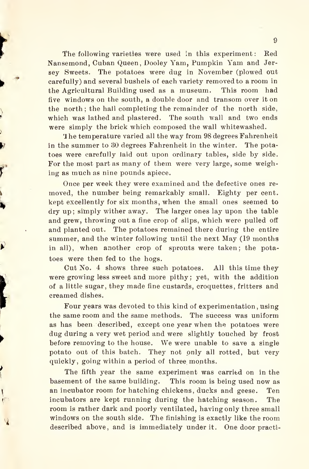The following varieties were used in this experiment: Red Nansemond, Cuban Queen, Dooley Yam, Pumpkin Yam and Jer sey Sweets. The potatoes were dug in November (plowed out carefully) and several bushels of each variety removed to a room in the Agricultural Building used as a museum. This room had five windows on the south, a double door and transom over it on the north; the hall completing the remainder of the north side, which was lathed and plastered. The south wall and two ends were simply the brick which composed the wall whitewashed.

'J he temperature varied all the way from 98 degrees Fahrenheit in the summer to 30 degrees Fahrenheit in the winter. The potatoes were carefully laid out upon ordinary tables, side by side. For the most part as many of them were very large, some weighing as much as nine pounds apiece.

Once per week they were examined and the defective ones re moved, the number being remarkably small. Eighty per cent, kept excellently for six months, when the small ones seemed to dry up; simply wither away. The larger ones lay upon the table and grew, throwing out a fine crop of slips, which were pulled off and planted out. The potatoes remained there during the entire summer, and the winter following until the next May (19 months in all), when another crop of sprouts were taken; the potatoes were then fed to the hogs.

Cut No. 4 shows three such potatoes. All this time they were growing less sweet and more pithy; yet, with the addition of a little sugar, they made fine custards, croquettes, fritters and creamed dishes.

Four years was devoted to this kind of experimentation, using the same room and the same methods. The success was uniform as has been described, except one year when the potatoes were dug during a very wet period and were slightly touched by frost before removing to the house. We were unable to save a single potato out of this batch. They not only all rotted, but very quickly, going within a period of three months.

The fifth year the same experiment was carried on in the basement of the same building. This room is being used now as an incubator room for hatching chickens, ducks and geese. Ten incubators are kept running during the hatching season. The room is rather dark and poorly ventilated, having only three small windows on the south side. The finishing is exactly like the room described above, and is immediately under it. One door practi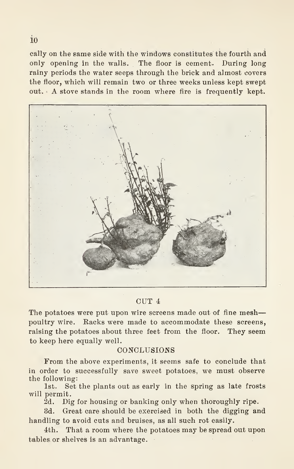cally on the same side with the windows constitutes the fourth and only opening in the walls. The floor is cement. During long rainy periods the water seeps through the brick and almost covers the floor, which will remain two or three weeks unless kept swept out. A stove stands in the room where fire is frequently kept.



#### CUT <sup>4</sup>

The potatoes were put upon wire screens made out of fine meshpoultry wire. Racks were made to accommodate these screens, raising the potatoes about three feet from the floor. They seem to keep here equally well.

#### CONCLUSIONS

From the above experiments, it seems safe to conclude that in order to successfully save sweet potatoes, we must observe the following:

1st. Set the plants out as early in the spring as late frosts will permit.

 $2d.$  Dig for housing or banking only when thoroughly ripe.

8d. Great care should be exercised in both the digging and handling to avoid cuts and bruises, as all such rot easily.

4th. That a room where the potatoes may be spread out upon tables or shelves is an advantage.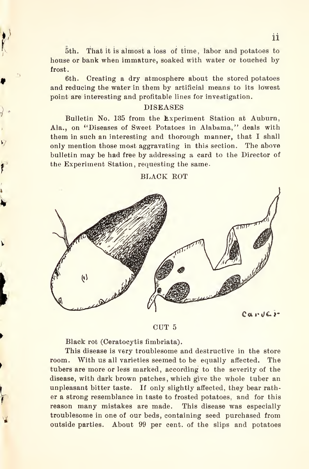5th. That it is almost a loss of time, labor and potatoes to house or bank when immature, soaked with water or touched by frost.

6th. Creating a dry atmosphere about the stored potatoes and reducing the water in them by artificial means to its lowest point are interesting and profitable lines for investigation.

#### DISEASES

Bulletin No. 135 from the Experiment Station at Auburn, Ala., on "Diseases of Sweet Potatoes in Alabama,'' deals with them in such an interesting and thorough manner, that <sup>I</sup> shall only mention those most aggravating in this section. The above bulletin may be had free by addressing a card to the Director of the Experiment Station, requesting the same.



#### CUT<sub>5</sub>

Black rot (Ceratocytis fimbriata).

This disease is very troublesome and destructive in the store room. With us all varieties seemed to be equally affected. The tubers are more or less marked, according to the severity of the disease, with dark brown patches, which give the whole tuber an unpleasant bitter taste. If only slightly affected, they bear rather a strong resemblance in taste to frosted potatoes, and for this reason many mistakes are made. This disease was especially troublesome in one of our beds, containing seed purchased from outside parties. About 99 per cent, of the slips and potatoes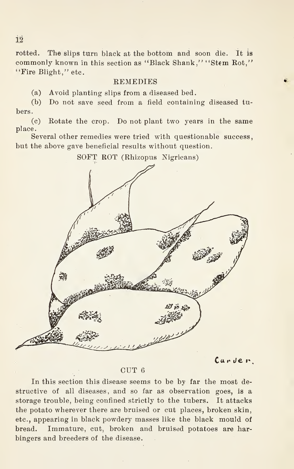rotted. The slips turn black at the bottom and soon die. It is commonly known in this section as "Black Shank," "Stem Rot," ' 'Fire Blight," etc.

#### **REMEDIES**

(a) Avoid planting slips from a diseased bed.

(b) Do not save seed from a field containing diseased tubers.

(c) Rotate the crop. Do not plant two years in the same place.

Several other remedies were tried with questionable success, but the above gave beneficial results without question.

SOFT ROT (Rhizopus Nigricans)



Carder.

CUT<sub>6</sub>

In this section this disease seems to be by far the most de structive of all diseases, and so far as observation goes, is a storage trouble, being confined strictly to the tubers. It attacks the potato wherever there are bruised or cut places, broken skin, etc., appearing in black powdery masses like the black mould of bread. Immature, cut, broken and bruised potatoes are har bingers and breeders of the disease.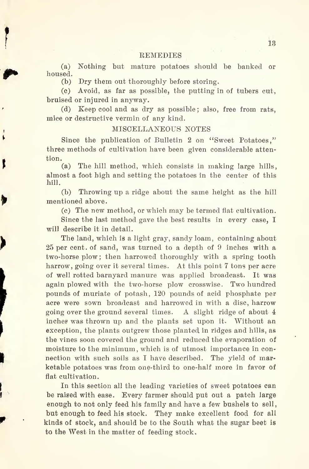#### **REMEDIES**

(a) Nothing but mature potatoes should be banked or housed.

(b) Dry them out thoroughly before storing.

(c) Avoid, as far as possible, the putting in of tubers cut, bruised or injured in anyway.

(d) Keep cool and as dry as possible; also, free from rats, mice or destructive vermin of any kind.

#### MISCELLANEOUS NOTES

Since the publication of Bulletin 2 on "Sweet Potatoes," three methods of cultivation have been given considerable attention.

(a) The hill method, which consists in making large hills, almost a foot high and setting the potatoes in the center of this hill.

(b) Throwing up a ridge about the same height as the hill mentioned above.

(c) The new method, or which may be termed flat cultivation.

Since the last method gave the best results in every case, <sup>I</sup> will describe it in detail.

The land, which is a light gray, sandy loam, containing about 25 per cent, of sand, was turned to a depth of 9 inches with a two-horse plow ; then harrowed thoroughly with a spring tooth harrow, going over it several times. At this point 7 tons per acre of well rotted barnyard manure was applied broadcast. It was again plowed with the two-horse plow crosswise. Two hundred pounds of muriate of potash, 120 pounds of acid phosphate per acre were sown broadcast and harrowed in with a disc, harrow going over the ground several times. A slight ridge of about <sup>4</sup> inches was thrown up and the plants set upon it. Without an exception, the plants outgrew those planted in ridges and hills, as the vines soon covered the ground and reduced the evaporation of moisture to the minimum, which is of utmost importance in con nection with such soils as I have described. The yield of marketable potatoes was from one-third to one-half more in favor of flat cultivation.

In this section all the leading varieties of sweet potatoes can be raised with ease. Every farmer should put out a patch large enough to not only feed his family and have a few bushels to sell, but enough to feed his stock. They make excellent food for all kinds of stock, and should be to the South what the sugar beet is to the West in the matter of feeding stock.